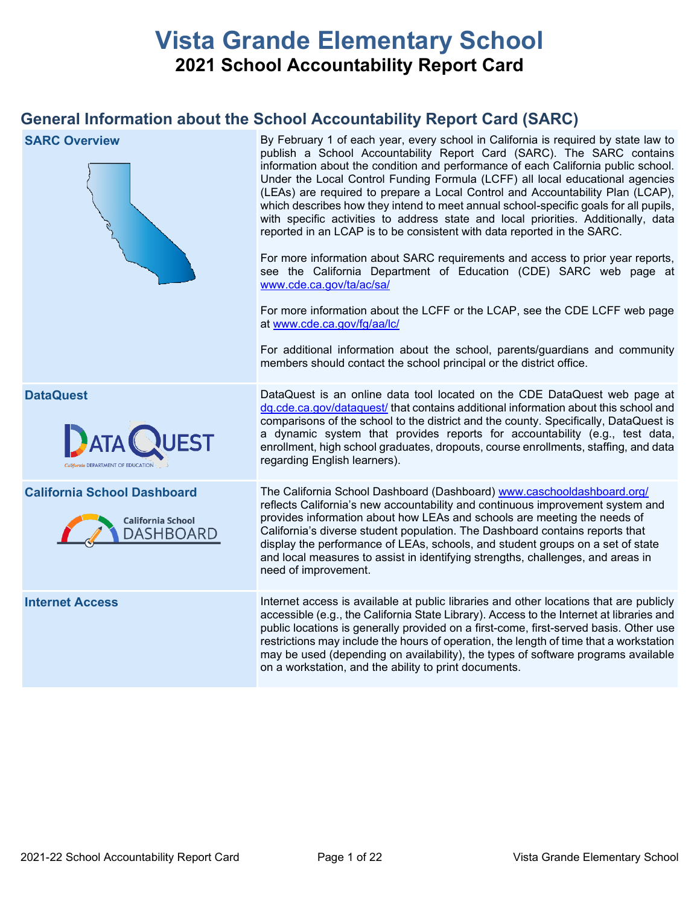# **Vista Grande Elementary School 2021 School Accountability Report Card**

# **General Information about the School Accountability Report Card (SARC)**

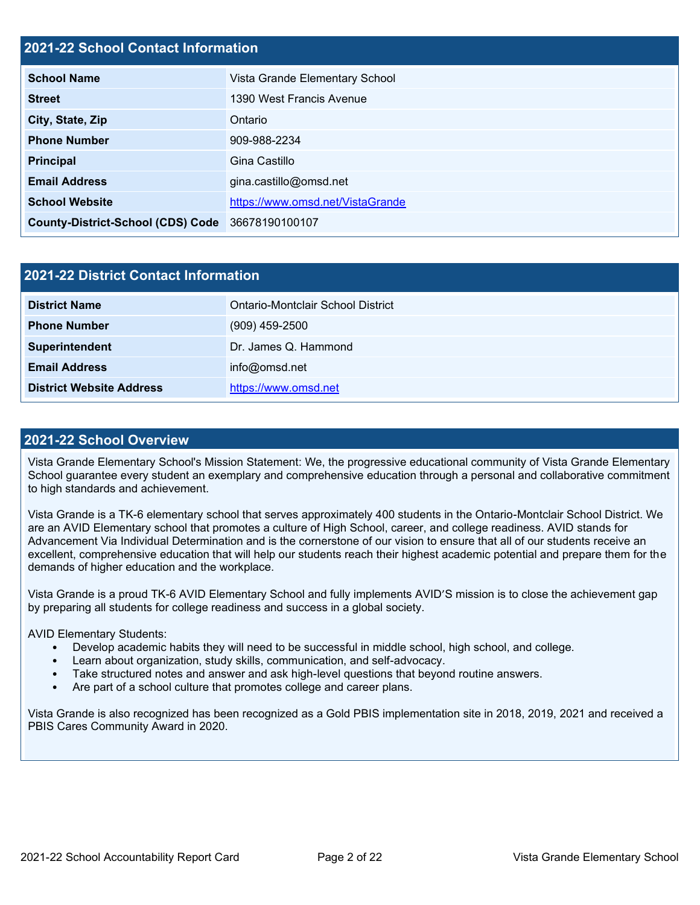# **2021-22 School Contact Information**

| <b>School Name</b>                       | Vista Grande Elementary School   |  |  |  |  |
|------------------------------------------|----------------------------------|--|--|--|--|
| <b>Street</b>                            | 1390 West Francis Avenue         |  |  |  |  |
| City, State, Zip                         | Ontario                          |  |  |  |  |
| <b>Phone Number</b>                      | 909-988-2234                     |  |  |  |  |
| <b>Principal</b>                         | Gina Castillo                    |  |  |  |  |
| <b>Email Address</b>                     | gina.castillo@omsd.net           |  |  |  |  |
| <b>School Website</b>                    | https://www.omsd.net/VistaGrande |  |  |  |  |
| <b>County-District-School (CDS) Code</b> | 36678190100107                   |  |  |  |  |

| 2021-22 District Contact Information |                                   |  |  |  |
|--------------------------------------|-----------------------------------|--|--|--|
| <b>District Name</b>                 | Ontario-Montclair School District |  |  |  |
| <b>Phone Number</b>                  | $(909)$ 459-2500                  |  |  |  |
| Superintendent                       | Dr. James Q. Hammond              |  |  |  |
| <b>Email Address</b>                 | info@omsd.net                     |  |  |  |
| <b>District Website Address</b>      | https://www.omsd.net              |  |  |  |

### **2021-22 School Overview**

Vista Grande Elementary School's Mission Statement: We, the progressive educational community of Vista Grande Elementary School guarantee every student an exemplary and comprehensive education through a personal and collaborative commitment to high standards and achievement.

Vista Grande is a TK-6 elementary school that serves approximately 400 students in the Ontario-Montclair School District. We are an AVID Elementary school that promotes a culture of High School, career, and college readiness. AVID stands for Advancement Via Individual Determination and is the cornerstone of our vision to ensure that all of our students receive an excellent, comprehensive education that will help our students reach their highest academic potential and prepare them for the demands of higher education and the workplace.

Vista Grande is a proud TK-6 AVID Elementary School and fully implements AVID'S mission is to close the achievement gap by preparing all students for college readiness and success in a global society.

AVID Elementary Students:

- Develop academic habits they will need to be successful in middle school, high school, and college.
- Learn about organization, study skills, communication, and self-advocacy.
- Take structured notes and answer and ask high-level questions that beyond routine answers.
- Are part of a school culture that promotes college and career plans.

Vista Grande is also recognized has been recognized as a Gold PBIS implementation site in 2018, 2019, 2021 and received a PBIS Cares Community Award in 2020.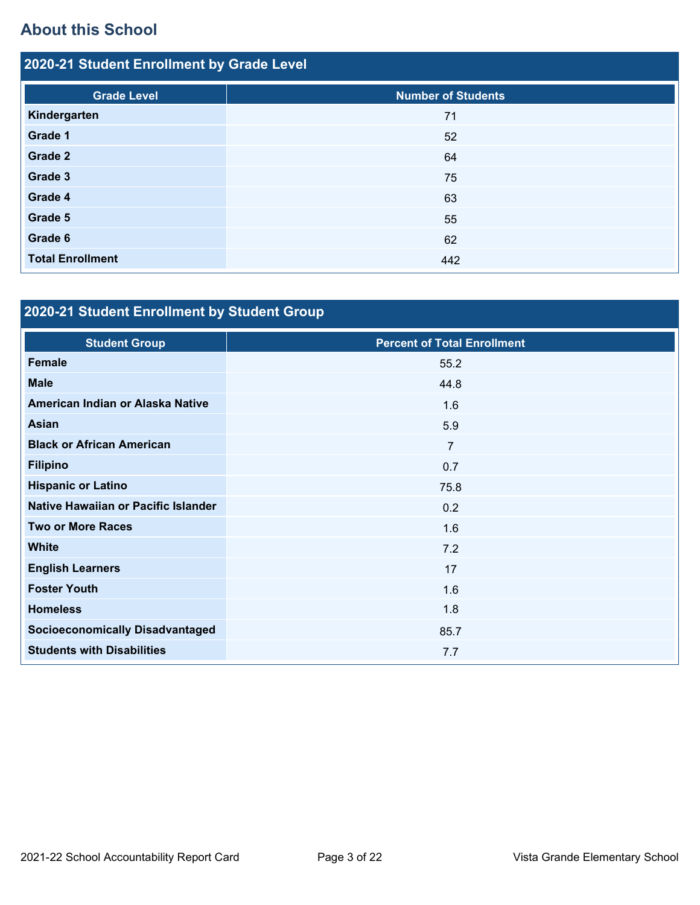# **About this School**

| 2020-21 Student Enrollment by Grade Level |                           |  |  |  |  |
|-------------------------------------------|---------------------------|--|--|--|--|
| <b>Grade Level</b>                        | <b>Number of Students</b> |  |  |  |  |
| Kindergarten                              | 71                        |  |  |  |  |
| Grade 1                                   | 52                        |  |  |  |  |
| Grade 2                                   | 64                        |  |  |  |  |
| Grade 3                                   | 75                        |  |  |  |  |
| Grade 4                                   | 63                        |  |  |  |  |
| Grade 5                                   | 55                        |  |  |  |  |
| Grade 6                                   | 62                        |  |  |  |  |
| <b>Total Enrollment</b>                   | 442                       |  |  |  |  |

# **2020-21 Student Enrollment by Student Group**

| <b>Student Group</b>                   | <b>Percent of Total Enrollment</b> |
|----------------------------------------|------------------------------------|
| <b>Female</b>                          | 55.2                               |
| <b>Male</b>                            | 44.8                               |
| American Indian or Alaska Native       | 1.6                                |
| <b>Asian</b>                           | 5.9                                |
| <b>Black or African American</b>       | $\overline{7}$                     |
| <b>Filipino</b>                        | 0.7                                |
| <b>Hispanic or Latino</b>              | 75.8                               |
| Native Hawaiian or Pacific Islander    | 0.2                                |
| <b>Two or More Races</b>               | 1.6                                |
| <b>White</b>                           | 7.2                                |
| <b>English Learners</b>                | 17                                 |
| <b>Foster Youth</b>                    | 1.6                                |
| <b>Homeless</b>                        | 1.8                                |
| <b>Socioeconomically Disadvantaged</b> | 85.7                               |
| <b>Students with Disabilities</b>      | 7.7                                |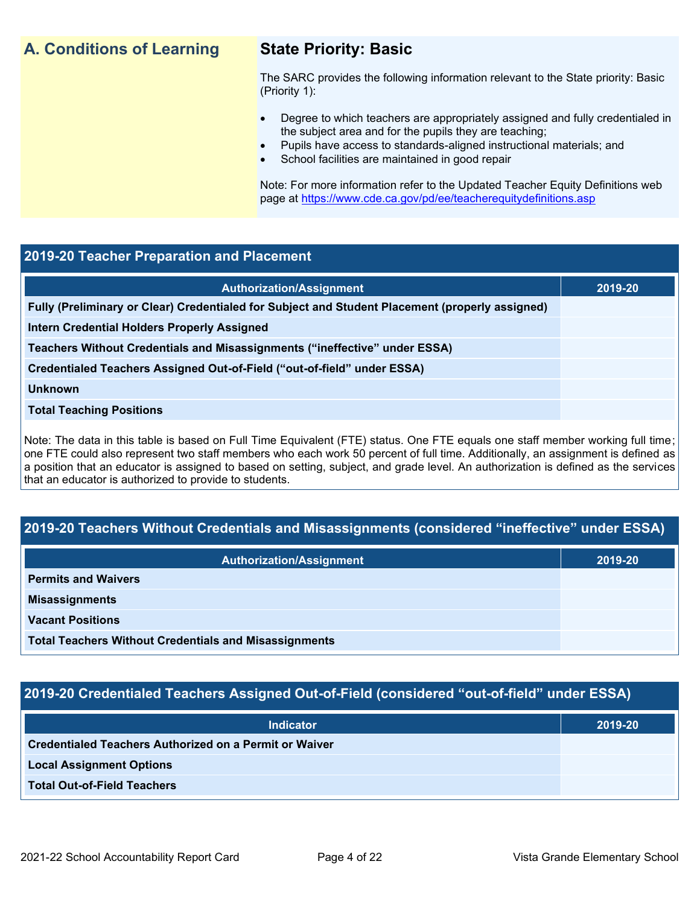# **A. Conditions of Learning State Priority: Basic**

The SARC provides the following information relevant to the State priority: Basic (Priority 1):

- Degree to which teachers are appropriately assigned and fully credentialed in the subject area and for the pupils they are teaching;
	- Pupils have access to standards-aligned instructional materials; and
- School facilities are maintained in good repair

Note: For more information refer to the Updated Teacher Equity Definitions web page at<https://www.cde.ca.gov/pd/ee/teacherequitydefinitions.asp>

### **2019-20 Teacher Preparation and Placement**

| <b>Authorization/Assignment</b>                                                                 | 2019-20 |
|-------------------------------------------------------------------------------------------------|---------|
| Fully (Preliminary or Clear) Credentialed for Subject and Student Placement (properly assigned) |         |
| <b>Intern Credential Holders Properly Assigned</b>                                              |         |
| Teachers Without Credentials and Misassignments ("ineffective" under ESSA)                      |         |
| Credentialed Teachers Assigned Out-of-Field ("out-of-field" under ESSA)                         |         |
| <b>Unknown</b>                                                                                  |         |
| <b>Total Teaching Positions</b>                                                                 |         |
|                                                                                                 |         |

Note: The data in this table is based on Full Time Equivalent (FTE) status. One FTE equals one staff member working full time; one FTE could also represent two staff members who each work 50 percent of full time. Additionally, an assignment is defined as a position that an educator is assigned to based on setting, subject, and grade level. An authorization is defined as the services that an educator is authorized to provide to students.

# **2019-20 Teachers Without Credentials and Misassignments (considered "ineffective" under ESSA)**

| <b>Authorization/Assignment</b>                              | 2019-20 |
|--------------------------------------------------------------|---------|
| <b>Permits and Waivers</b>                                   |         |
| <b>Misassignments</b>                                        |         |
| <b>Vacant Positions</b>                                      |         |
| <b>Total Teachers Without Credentials and Misassignments</b> |         |

# **2019-20 Credentialed Teachers Assigned Out-of-Field (considered "out-of-field" under ESSA)**

| <b>Indicator</b>                                       | 2019-20 |
|--------------------------------------------------------|---------|
| Credentialed Teachers Authorized on a Permit or Waiver |         |
| <b>Local Assignment Options</b>                        |         |
| <b>Total Out-of-Field Teachers</b>                     |         |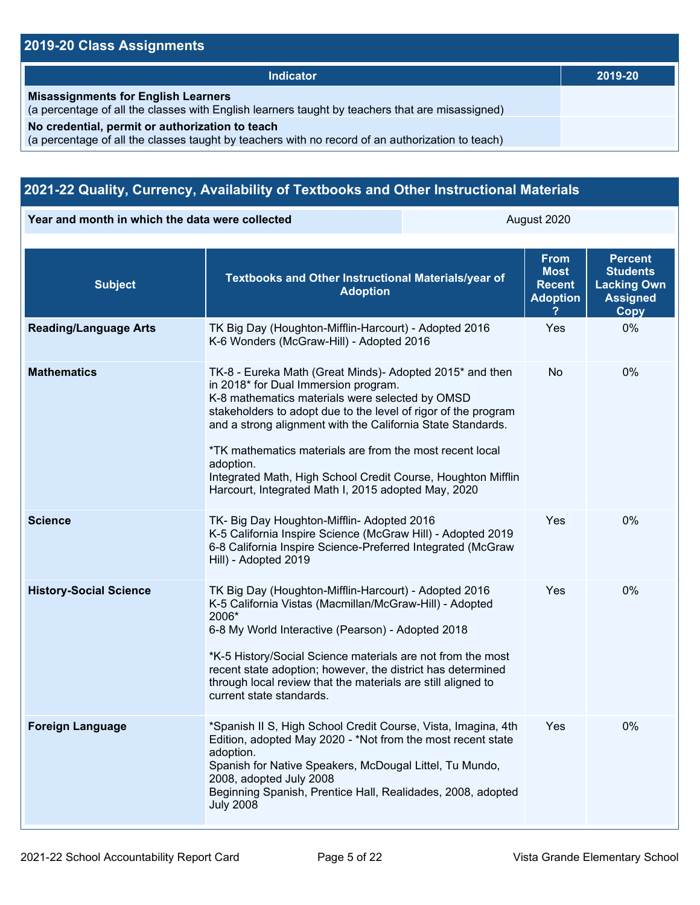# **2019-20 Class Assignments**

| <b>Indicator</b>                                                                                                                                    | 2019-20 |
|-----------------------------------------------------------------------------------------------------------------------------------------------------|---------|
| <b>Misassignments for English Learners</b><br>(a percentage of all the classes with English learners taught by teachers that are misassigned)       |         |
| No credential, permit or authorization to teach<br>(a percentage of all the classes taught by teachers with no record of an authorization to teach) |         |

# **2021-22 Quality, Currency, Availability of Textbooks and Other Instructional Materials**

**Year and month in which the data were collected** August 2020

| <b>Subject</b>                | Textbooks and Other Instructional Materials/year of<br><b>Adoption</b>                                                                                                                                                                                                                                                                                                                                                                                                               | <b>From</b><br><b>Most</b><br><b>Recent</b><br><b>Adoption</b> | <b>Percent</b><br><b>Students</b><br><b>Lacking Own</b><br><b>Assigned</b><br>Copy |
|-------------------------------|--------------------------------------------------------------------------------------------------------------------------------------------------------------------------------------------------------------------------------------------------------------------------------------------------------------------------------------------------------------------------------------------------------------------------------------------------------------------------------------|----------------------------------------------------------------|------------------------------------------------------------------------------------|
| <b>Reading/Language Arts</b>  | TK Big Day (Houghton-Mifflin-Harcourt) - Adopted 2016<br>K-6 Wonders (McGraw-Hill) - Adopted 2016                                                                                                                                                                                                                                                                                                                                                                                    | Yes                                                            | 0%                                                                                 |
| <b>Mathematics</b>            | TK-8 - Eureka Math (Great Minds)- Adopted 2015* and then<br>in 2018* for Dual Immersion program.<br>K-8 mathematics materials were selected by OMSD<br>stakeholders to adopt due to the level of rigor of the program<br>and a strong alignment with the California State Standards.<br>*TK mathematics materials are from the most recent local<br>adoption.<br>Integrated Math, High School Credit Course, Houghton Mifflin<br>Harcourt, Integrated Math I, 2015 adopted May, 2020 | No                                                             | 0%                                                                                 |
| <b>Science</b>                | TK- Big Day Houghton-Mifflin- Adopted 2016<br>K-5 California Inspire Science (McGraw Hill) - Adopted 2019<br>6-8 California Inspire Science-Preferred Integrated (McGraw<br>Hill) - Adopted 2019                                                                                                                                                                                                                                                                                     | Yes                                                            | 0%                                                                                 |
| <b>History-Social Science</b> | TK Big Day (Houghton-Mifflin-Harcourt) - Adopted 2016<br>K-5 California Vistas (Macmillan/McGraw-Hill) - Adopted<br>2006*<br>6-8 My World Interactive (Pearson) - Adopted 2018<br>*K-5 History/Social Science materials are not from the most<br>recent state adoption; however, the district has determined<br>through local review that the materials are still aligned to<br>current state standards.                                                                             | Yes                                                            | $0\%$                                                                              |
| <b>Foreign Language</b>       | *Spanish II S, High School Credit Course, Vista, Imagina, 4th<br>Edition, adopted May 2020 - *Not from the most recent state<br>adoption.<br>Spanish for Native Speakers, McDougal Littel, Tu Mundo,<br>2008, adopted July 2008<br>Beginning Spanish, Prentice Hall, Realidades, 2008, adopted<br><b>July 2008</b>                                                                                                                                                                   | Yes                                                            | 0%                                                                                 |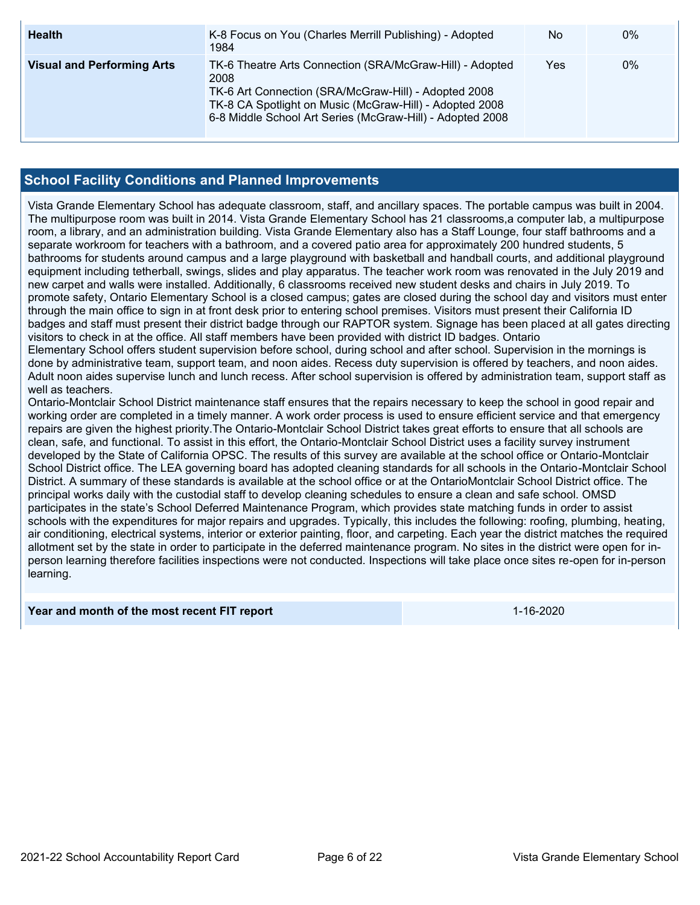| <b>Health</b>                     | K-8 Focus on You (Charles Merrill Publishing) - Adopted<br>1984                                                                                                                                                                                  | No  | $0\%$ |
|-----------------------------------|--------------------------------------------------------------------------------------------------------------------------------------------------------------------------------------------------------------------------------------------------|-----|-------|
| <b>Visual and Performing Arts</b> | TK-6 Theatre Arts Connection (SRA/McGraw-Hill) - Adopted<br>2008<br>TK-6 Art Connection (SRA/McGraw-Hill) - Adopted 2008<br>TK-8 CA Spotlight on Music (McGraw-Hill) - Adopted 2008<br>6-8 Middle School Art Series (McGraw-Hill) - Adopted 2008 | Yes | 0%    |

### **School Facility Conditions and Planned Improvements**

Vista Grande Elementary School has adequate classroom, staff, and ancillary spaces. The portable campus was built in 2004. The multipurpose room was built in 2014. Vista Grande Elementary School has 21 classrooms,a computer lab, a multipurpose room, a library, and an administration building. Vista Grande Elementary also has a Staff Lounge, four staff bathrooms and a separate workroom for teachers with a bathroom, and a covered patio area for approximately 200 hundred students, 5 bathrooms for students around campus and a large playground with basketball and handball courts, and additional playground equipment including tetherball, swings, slides and play apparatus. The teacher work room was renovated in the July 2019 and new carpet and walls were installed. Additionally, 6 classrooms received new student desks and chairs in July 2019. To promote safety, Ontario Elementary School is a closed campus; gates are closed during the school day and visitors must enter through the main office to sign in at front desk prior to entering school premises. Visitors must present their California ID badges and staff must present their district badge through our RAPTOR system. Signage has been placed at all gates directing visitors to check in at the office. All staff members have been provided with district ID badges. Ontario Elementary School offers student supervision before school, during school and after school. Supervision in the mornings is done by administrative team, support team, and noon aides. Recess duty supervision is offered by teachers, and noon aides. Adult noon aides supervise lunch and lunch recess. After school supervision is offered by administration team, support staff as well as teachers. Ontario-Montclair School District maintenance staff ensures that the repairs necessary to keep the school in good repair and working order are completed in a timely manner. A work order process is used to ensure efficient service and that emergency repairs are given the highest priority.The Ontario-Montclair School District takes great efforts to ensure that all schools are clean, safe, and functional. To assist in this effort, the Ontario-Montclair School District uses a facility survey instrument developed by the State of California OPSC. The results of this survey are available at the school office or Ontario-Montclair School District office. The LEA governing board has adopted cleaning standards for all schools in the Ontario-Montclair School

District. A summary of these standards is available at the school office or at the OntarioMontclair School District office. The principal works daily with the custodial staff to develop cleaning schedules to ensure a clean and safe school. OMSD participates in the state's School Deferred Maintenance Program, which provides state matching funds in order to assist schools with the expenditures for major repairs and upgrades. Typically, this includes the following: roofing, plumbing, heating, air conditioning, electrical systems, interior or exterior painting, floor, and carpeting. Each year the district matches the required allotment set by the state in order to participate in the deferred maintenance program. No sites in the district were open for inperson learning therefore facilities inspections were not conducted. Inspections will take place once sites re-open for in-person learning.

### **Year and month of the most recent FIT report** 1-16-2020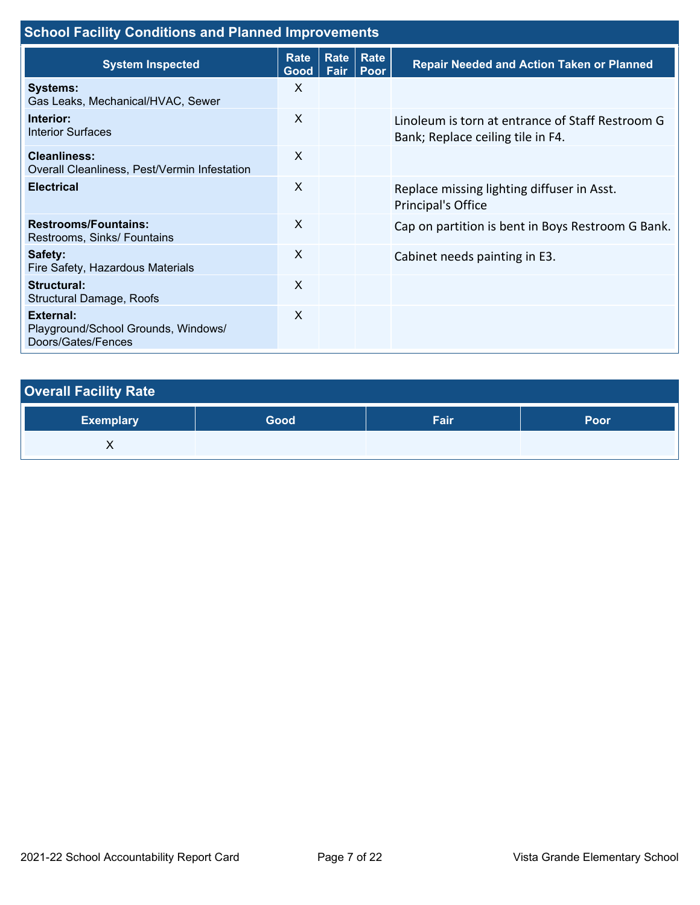| <b>School Facility Conditions and Planned Improvements</b>             |                            |              |              |                                                                                       |  |
|------------------------------------------------------------------------|----------------------------|--------------|--------------|---------------------------------------------------------------------------------------|--|
| <b>System Inspected</b>                                                | <b>Rate</b><br><b>Good</b> | Rate<br>Fair | Rate<br>Poor | <b>Repair Needed and Action Taken or Planned</b>                                      |  |
| <b>Systems:</b><br>Gas Leaks, Mechanical/HVAC, Sewer                   | X                          |              |              |                                                                                       |  |
| Interior:<br><b>Interior Surfaces</b>                                  | X                          |              |              | Linoleum is torn at entrance of Staff Restroom G<br>Bank; Replace ceiling tile in F4. |  |
| Cleanliness:<br>Overall Cleanliness, Pest/Vermin Infestation           | X                          |              |              |                                                                                       |  |
| <b>Electrical</b>                                                      | X                          |              |              | Replace missing lighting diffuser in Asst.<br><b>Principal's Office</b>               |  |
| <b>Restrooms/Fountains:</b><br>Restrooms, Sinks/ Fountains             | X                          |              |              | Cap on partition is bent in Boys Restroom G Bank.                                     |  |
| Safety:<br>Fire Safety, Hazardous Materials                            | X                          |              |              | Cabinet needs painting in E3.                                                         |  |
| Structural:<br><b>Structural Damage, Roofs</b>                         | $\times$                   |              |              |                                                                                       |  |
| External:<br>Playground/School Grounds, Windows/<br>Doors/Gates/Fences | X                          |              |              |                                                                                       |  |

| <b>Overall Facility Rate</b> |      |      |      |
|------------------------------|------|------|------|
| <b>Exemplary</b>             | Good | Fair | Poor |
|                              |      |      |      |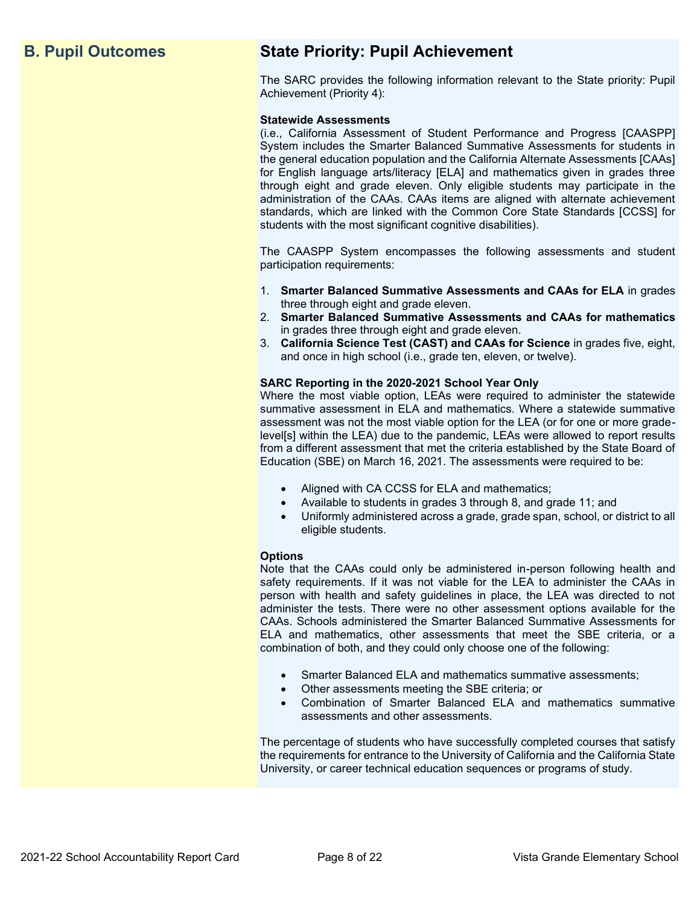# **B. Pupil Outcomes State Priority: Pupil Achievement**

The SARC provides the following information relevant to the State priority: Pupil Achievement (Priority 4):

### **Statewide Assessments**

(i.e., California Assessment of Student Performance and Progress [CAASPP] System includes the Smarter Balanced Summative Assessments for students in the general education population and the California Alternate Assessments [CAAs] for English language arts/literacy [ELA] and mathematics given in grades three through eight and grade eleven. Only eligible students may participate in the administration of the CAAs. CAAs items are aligned with alternate achievement standards, which are linked with the Common Core State Standards [CCSS] for students with the most significant cognitive disabilities).

The CAASPP System encompasses the following assessments and student participation requirements:

- 1. **Smarter Balanced Summative Assessments and CAAs for ELA** in grades three through eight and grade eleven.
- 2. **Smarter Balanced Summative Assessments and CAAs for mathematics** in grades three through eight and grade eleven.
- 3. **California Science Test (CAST) and CAAs for Science** in grades five, eight, and once in high school (i.e., grade ten, eleven, or twelve).

### **SARC Reporting in the 2020-2021 School Year Only**

Where the most viable option, LEAs were required to administer the statewide summative assessment in ELA and mathematics. Where a statewide summative assessment was not the most viable option for the LEA (or for one or more gradelevel[s] within the LEA) due to the pandemic, LEAs were allowed to report results from a different assessment that met the criteria established by the State Board of Education (SBE) on March 16, 2021. The assessments were required to be:

- Aligned with CA CCSS for ELA and mathematics;
- Available to students in grades 3 through 8, and grade 11; and
- Uniformly administered across a grade, grade span, school, or district to all eligible students.

### **Options**

Note that the CAAs could only be administered in-person following health and safety requirements. If it was not viable for the LEA to administer the CAAs in person with health and safety guidelines in place, the LEA was directed to not administer the tests. There were no other assessment options available for the CAAs. Schools administered the Smarter Balanced Summative Assessments for ELA and mathematics, other assessments that meet the SBE criteria, or a combination of both, and they could only choose one of the following:

- Smarter Balanced ELA and mathematics summative assessments;
- Other assessments meeting the SBE criteria; or
- Combination of Smarter Balanced ELA and mathematics summative assessments and other assessments.

The percentage of students who have successfully completed courses that satisfy the requirements for entrance to the University of California and the California State University, or career technical education sequences or programs of study.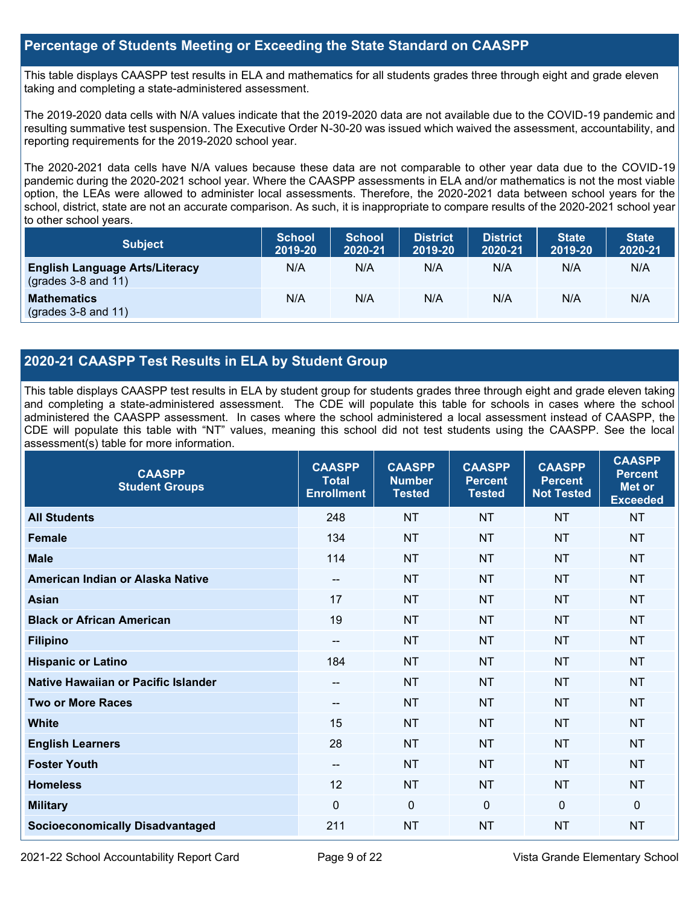### **Percentage of Students Meeting or Exceeding the State Standard on CAASPP**

This table displays CAASPP test results in ELA and mathematics for all students grades three through eight and grade eleven taking and completing a state-administered assessment.

The 2019-2020 data cells with N/A values indicate that the 2019-2020 data are not available due to the COVID-19 pandemic and resulting summative test suspension. The Executive Order N-30-20 was issued which waived the assessment, accountability, and reporting requirements for the 2019-2020 school year.

The 2020-2021 data cells have N/A values because these data are not comparable to other year data due to the COVID-19 pandemic during the 2020-2021 school year. Where the CAASPP assessments in ELA and/or mathematics is not the most viable option, the LEAs were allowed to administer local assessments. Therefore, the 2020-2021 data between school years for the school, district, state are not an accurate comparison. As such, it is inappropriate to compare results of the 2020-2021 school year to other school years.

| <b>Subject</b>                                                       | <b>School</b><br>2019-20 | <b>School</b><br>2020-21 | <b>District</b><br>2019-20 | <b>District</b><br>2020-21 | <b>State</b><br>2019-20 | <b>State</b><br>2020-21 |
|----------------------------------------------------------------------|--------------------------|--------------------------|----------------------------|----------------------------|-------------------------|-------------------------|
| <b>English Language Arts/Literacy</b><br>$\left($ grades 3-8 and 11) | N/A                      | N/A                      | N/A                        | N/A                        | N/A                     | N/A                     |
| <b>Mathematics</b><br>$(grades 3-8 and 11)$                          | N/A                      | N/A                      | N/A                        | N/A                        | N/A                     | N/A                     |

## **2020-21 CAASPP Test Results in ELA by Student Group**

This table displays CAASPP test results in ELA by student group for students grades three through eight and grade eleven taking and completing a state-administered assessment. The CDE will populate this table for schools in cases where the school administered the CAASPP assessment. In cases where the school administered a local assessment instead of CAASPP, the CDE will populate this table with "NT" values, meaning this school did not test students using the CAASPP. See the local assessment(s) table for more information.

| <b>CAASPP</b><br><b>Student Groups</b> | <b>CAASPP</b><br><b>Total</b><br><b>Enrollment</b> | <b>CAASPP</b><br><b>Number</b><br><b>Tested</b> | <b>CAASPP</b><br><b>Percent</b><br><b>Tested</b> | <b>CAASPP</b><br><b>Percent</b><br><b>Not Tested</b> | <b>CAASPP</b><br><b>Percent</b><br>Met or<br><b>Exceeded</b> |
|----------------------------------------|----------------------------------------------------|-------------------------------------------------|--------------------------------------------------|------------------------------------------------------|--------------------------------------------------------------|
| <b>All Students</b>                    | 248                                                | <b>NT</b>                                       | <b>NT</b>                                        | <b>NT</b>                                            | <b>NT</b>                                                    |
| <b>Female</b>                          | 134                                                | <b>NT</b>                                       | <b>NT</b>                                        | <b>NT</b>                                            | <b>NT</b>                                                    |
| <b>Male</b>                            | 114                                                | <b>NT</b>                                       | <b>NT</b>                                        | <b>NT</b>                                            | <b>NT</b>                                                    |
| American Indian or Alaska Native       | $-$                                                | <b>NT</b>                                       | <b>NT</b>                                        | <b>NT</b>                                            | <b>NT</b>                                                    |
| <b>Asian</b>                           | 17                                                 | <b>NT</b>                                       | <b>NT</b>                                        | <b>NT</b>                                            | <b>NT</b>                                                    |
| <b>Black or African American</b>       | 19                                                 | <b>NT</b>                                       | <b>NT</b>                                        | <b>NT</b>                                            | <b>NT</b>                                                    |
| <b>Filipino</b>                        | $\qquad \qquad -$                                  | <b>NT</b>                                       | <b>NT</b>                                        | <b>NT</b>                                            | <b>NT</b>                                                    |
| <b>Hispanic or Latino</b>              | 184                                                | <b>NT</b>                                       | <b>NT</b>                                        | <b>NT</b>                                            | <b>NT</b>                                                    |
| Native Hawaiian or Pacific Islander    | $- -$                                              | <b>NT</b>                                       | <b>NT</b>                                        | <b>NT</b>                                            | <b>NT</b>                                                    |
| <b>Two or More Races</b>               | $- -$                                              | <b>NT</b>                                       | <b>NT</b>                                        | <b>NT</b>                                            | <b>NT</b>                                                    |
| <b>White</b>                           | 15                                                 | <b>NT</b>                                       | <b>NT</b>                                        | <b>NT</b>                                            | <b>NT</b>                                                    |
| <b>English Learners</b>                | 28                                                 | <b>NT</b>                                       | <b>NT</b>                                        | <b>NT</b>                                            | <b>NT</b>                                                    |
| <b>Foster Youth</b>                    | $\overline{\phantom{a}}$                           | <b>NT</b>                                       | <b>NT</b>                                        | <b>NT</b>                                            | <b>NT</b>                                                    |
| <b>Homeless</b>                        | 12                                                 | <b>NT</b>                                       | <b>NT</b>                                        | <b>NT</b>                                            | <b>NT</b>                                                    |
| <b>Military</b>                        | $\Omega$                                           | $\mathbf 0$                                     | $\mathbf{0}$                                     | $\mathbf 0$                                          | 0                                                            |
| <b>Socioeconomically Disadvantaged</b> | 211                                                | <b>NT</b>                                       | <b>NT</b>                                        | <b>NT</b>                                            | <b>NT</b>                                                    |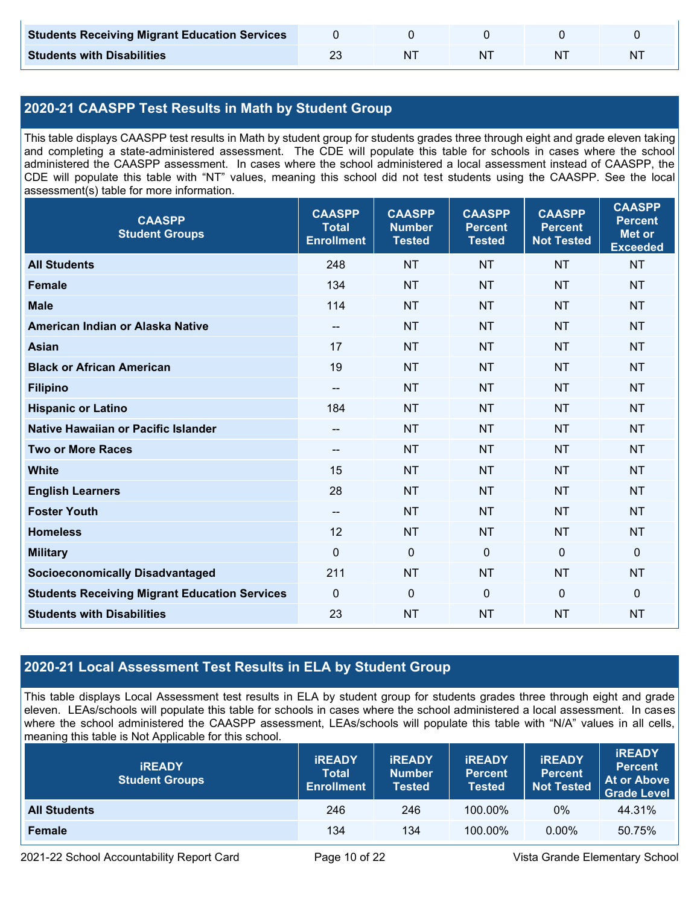| <b>Students Receiving Migrant Education Services</b> |    |  |   |
|------------------------------------------------------|----|--|---|
| <b>Students with Disabilities</b>                    | NΊ |  | N |

# **2020-21 CAASPP Test Results in Math by Student Group**

This table displays CAASPP test results in Math by student group for students grades three through eight and grade eleven taking and completing a state-administered assessment. The CDE will populate this table for schools in cases where the school administered the CAASPP assessment. In cases where the school administered a local assessment instead of CAASPP, the CDE will populate this table with "NT" values, meaning this school did not test students using the CAASPP. See the local assessment(s) table for more information.

| <b>CAASPP</b><br><b>Student Groups</b>               | <b>CAASPP</b><br><b>Total</b><br><b>Enrollment</b> | <b>CAASPP</b><br><b>Number</b><br><b>Tested</b> | <b>CAASPP</b><br><b>Percent</b><br><b>Tested</b> | <b>CAASPP</b><br><b>Percent</b><br><b>Not Tested</b> | <b>CAASPP</b><br><b>Percent</b><br><b>Met or</b><br><b>Exceeded</b> |
|------------------------------------------------------|----------------------------------------------------|-------------------------------------------------|--------------------------------------------------|------------------------------------------------------|---------------------------------------------------------------------|
| <b>All Students</b>                                  | 248                                                | <b>NT</b>                                       | <b>NT</b>                                        | <b>NT</b>                                            | <b>NT</b>                                                           |
| <b>Female</b>                                        | 134                                                | <b>NT</b>                                       | <b>NT</b>                                        | <b>NT</b>                                            | <b>NT</b>                                                           |
| <b>Male</b>                                          | 114                                                | <b>NT</b>                                       | <b>NT</b>                                        | <b>NT</b>                                            | <b>NT</b>                                                           |
| American Indian or Alaska Native                     | $\qquad \qquad -$                                  | <b>NT</b>                                       | <b>NT</b>                                        | <b>NT</b>                                            | <b>NT</b>                                                           |
| <b>Asian</b>                                         | 17                                                 | <b>NT</b>                                       | <b>NT</b>                                        | <b>NT</b>                                            | <b>NT</b>                                                           |
| <b>Black or African American</b>                     | 19                                                 | <b>NT</b>                                       | <b>NT</b>                                        | <b>NT</b>                                            | <b>NT</b>                                                           |
| <b>Filipino</b>                                      | $\overline{\phantom{a}}$                           | <b>NT</b>                                       | <b>NT</b>                                        | <b>NT</b>                                            | <b>NT</b>                                                           |
| <b>Hispanic or Latino</b>                            | 184                                                | <b>NT</b>                                       | <b>NT</b>                                        | <b>NT</b>                                            | NT                                                                  |
| Native Hawaiian or Pacific Islander                  | $\overline{\phantom{a}}$                           | <b>NT</b>                                       | <b>NT</b>                                        | <b>NT</b>                                            | <b>NT</b>                                                           |
| <b>Two or More Races</b>                             | $\overline{\phantom{a}}$                           | <b>NT</b>                                       | <b>NT</b>                                        | <b>NT</b>                                            | <b>NT</b>                                                           |
| <b>White</b>                                         | 15                                                 | <b>NT</b>                                       | <b>NT</b>                                        | <b>NT</b>                                            | <b>NT</b>                                                           |
| <b>English Learners</b>                              | 28                                                 | <b>NT</b>                                       | <b>NT</b>                                        | <b>NT</b>                                            | <b>NT</b>                                                           |
| <b>Foster Youth</b>                                  | $\overline{\phantom{a}}$                           | <b>NT</b>                                       | <b>NT</b>                                        | <b>NT</b>                                            | <b>NT</b>                                                           |
| <b>Homeless</b>                                      | 12                                                 | <b>NT</b>                                       | <b>NT</b>                                        | <b>NT</b>                                            | <b>NT</b>                                                           |
| <b>Military</b>                                      | $\mathbf 0$                                        | $\mathbf 0$                                     | $\mathbf 0$                                      | $\mathbf 0$                                          | 0                                                                   |
| <b>Socioeconomically Disadvantaged</b>               | 211                                                | <b>NT</b>                                       | <b>NT</b>                                        | <b>NT</b>                                            | <b>NT</b>                                                           |
| <b>Students Receiving Migrant Education Services</b> | $\mathbf 0$                                        | $\mathbf 0$                                     | $\mathbf 0$                                      | $\mathbf 0$                                          | $\mathbf 0$                                                         |
| <b>Students with Disabilities</b>                    | 23                                                 | <b>NT</b>                                       | <b>NT</b>                                        | <b>NT</b>                                            | <b>NT</b>                                                           |

# **2020-21 Local Assessment Test Results in ELA by Student Group**

This table displays Local Assessment test results in ELA by student group for students grades three through eight and grade eleven. LEAs/schools will populate this table for schools in cases where the school administered a local assessment. In cases where the school administered the CAASPP assessment, LEAs/schools will populate this table with "N/A" values in all cells, meaning this table is Not Applicable for this school.

| <b>IREADY</b><br><b>Student Groups</b> | <b>IREADY</b><br><b>Total</b><br><b>Enrollment</b> | <b>IREADY</b><br><b>Number</b><br><b>Tested</b> | <b><i>IREADY</i></b><br><b>Percent</b><br>Tested | <b>IREADY</b><br><b>Percent</b><br><b>Not Tested</b> | <b>IREADY</b><br><b>Percent</b><br>At or Above<br><b>Grade Level</b> |
|----------------------------------------|----------------------------------------------------|-------------------------------------------------|--------------------------------------------------|------------------------------------------------------|----------------------------------------------------------------------|
| <b>All Students</b>                    | 246                                                | 246                                             | 100.00%                                          | $0\%$                                                | 44.31%                                                               |
| Female                                 | 134                                                | 134                                             | 100.00%                                          | $0.00\%$                                             | 50.75%                                                               |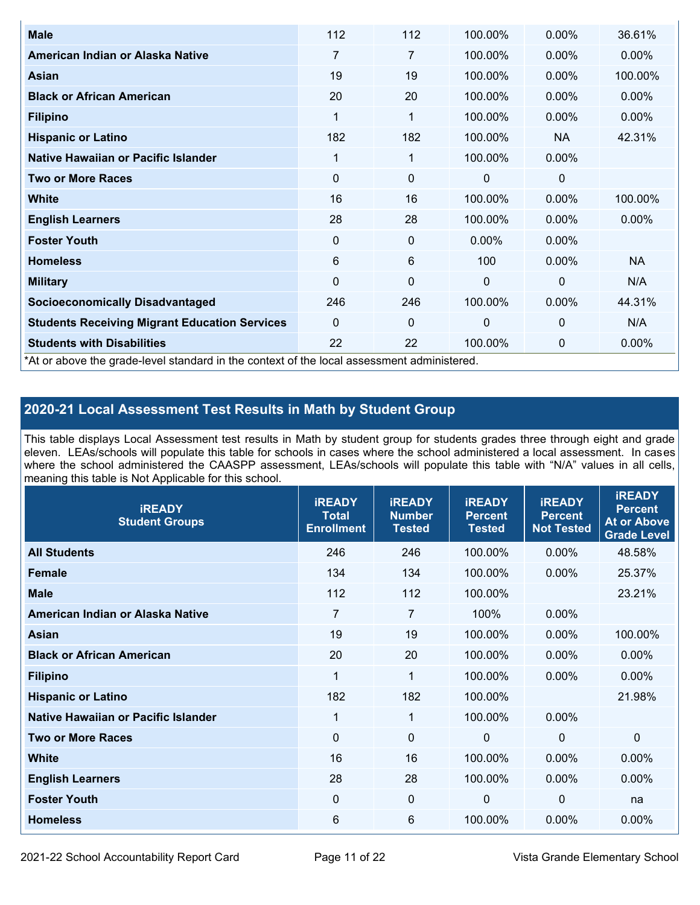| <b>Male</b>                                                                                | 112         | 112         | 100.00%  | $0.00\%$       | 36.61%    |
|--------------------------------------------------------------------------------------------|-------------|-------------|----------|----------------|-----------|
| American Indian or Alaska Native                                                           | 7           | 7           | 100.00%  | 0.00%          | $0.00\%$  |
| <b>Asian</b>                                                                               | 19          | 19          | 100.00%  | $0.00\%$       | 100.00%   |
| <b>Black or African American</b>                                                           | 20          | 20          | 100.00%  | $0.00\%$       | $0.00\%$  |
| <b>Filipino</b>                                                                            | 1           | 1           | 100.00%  | $0.00\%$       | 0.00%     |
| <b>Hispanic or Latino</b>                                                                  | 182         | 182         | 100.00%  | <b>NA</b>      | 42.31%    |
| Native Hawaiian or Pacific Islander                                                        | 1           | 1           | 100.00%  | $0.00\%$       |           |
| <b>Two or More Races</b>                                                                   | $\mathbf 0$ | $\mathbf 0$ | 0        | 0              |           |
| White                                                                                      | 16          | 16          | 100.00%  | $0.00\%$       | 100.00%   |
| <b>English Learners</b>                                                                    | 28          | 28          | 100.00%  | $0.00\%$       | $0.00\%$  |
| <b>Foster Youth</b>                                                                        | 0           | 0           | $0.00\%$ | $0.00\%$       |           |
| <b>Homeless</b>                                                                            | 6           | 6           | 100      | 0.00%          | <b>NA</b> |
| <b>Military</b>                                                                            | $\mathbf 0$ | 0           | $\Omega$ | $\overline{0}$ | N/A       |
| <b>Socioeconomically Disadvantaged</b>                                                     | 246         | 246         | 100.00%  | 0.00%          | 44.31%    |
| <b>Students Receiving Migrant Education Services</b>                                       | $\Omega$    | 0           | $\Omega$ | $\mathbf{0}$   | N/A       |
| <b>Students with Disabilities</b>                                                          | 22          | 22          | 100.00%  | 0              | 0.00%     |
| *At or above the grade-level standard in the context of the local assessment administered. |             |             |          |                |           |

# **2020-21 Local Assessment Test Results in Math by Student Group**

This table displays Local Assessment test results in Math by student group for students grades three through eight and grade eleven. LEAs/schools will populate this table for schools in cases where the school administered a local assessment. In cases where the school administered the CAASPP assessment, LEAs/schools will populate this table with "N/A" values in all cells, meaning this table is Not Applicable for this school.

| <b>iREADY</b><br><b>Student Groups</b> | <b>IREADY</b><br><b>Total</b><br><b>Enrollment</b> | <b>iREADY</b><br><b>Number</b><br><b>Tested</b> | <b>iREADY</b><br><b>Percent</b><br><b>Tested</b> | <b>IREADY</b><br><b>Percent</b><br><b>Not Tested</b> | <b>IREADY</b><br><b>Percent</b><br><b>At or Above</b><br><b>Grade Level</b> |
|----------------------------------------|----------------------------------------------------|-------------------------------------------------|--------------------------------------------------|------------------------------------------------------|-----------------------------------------------------------------------------|
| <b>All Students</b>                    | 246                                                | 246                                             | 100.00%                                          | 0.00%                                                | 48.58%                                                                      |
| <b>Female</b>                          | 134                                                | 134                                             | 100.00%                                          | 0.00%                                                | 25.37%                                                                      |
| <b>Male</b>                            | 112                                                | 112                                             | 100.00%                                          |                                                      | 23.21%                                                                      |
| American Indian or Alaska Native       | 7                                                  | 7                                               | 100%                                             | 0.00%                                                |                                                                             |
| Asian                                  | 19                                                 | 19                                              | 100.00%                                          | 0.00%                                                | 100.00%                                                                     |
| <b>Black or African American</b>       | 20                                                 | 20                                              | 100.00%                                          | 0.00%                                                | 0.00%                                                                       |
| <b>Filipino</b>                        | 1                                                  | 1                                               | 100.00%                                          | 0.00%                                                | $0.00\%$                                                                    |
| <b>Hispanic or Latino</b>              | 182                                                | 182                                             | 100.00%                                          |                                                      | 21.98%                                                                      |
| Native Hawaiian or Pacific Islander    | 1                                                  | $\mathbf{1}$                                    | 100.00%                                          | 0.00%                                                |                                                                             |
| <b>Two or More Races</b>               | $\Omega$                                           | $\mathbf 0$                                     | $\mathbf{0}$                                     | $\overline{0}$                                       | $\Omega$                                                                    |
| <b>White</b>                           | 16                                                 | 16                                              | 100.00%                                          | 0.00%                                                | 0.00%                                                                       |
| <b>English Learners</b>                | 28                                                 | 28                                              | 100.00%                                          | 0.00%                                                | $0.00\%$                                                                    |
| <b>Foster Youth</b>                    | 0                                                  | $\mathbf 0$                                     | 0                                                | 0                                                    | na                                                                          |
| <b>Homeless</b>                        | 6                                                  | 6                                               | 100.00%                                          | 0.00%                                                | 0.00%                                                                       |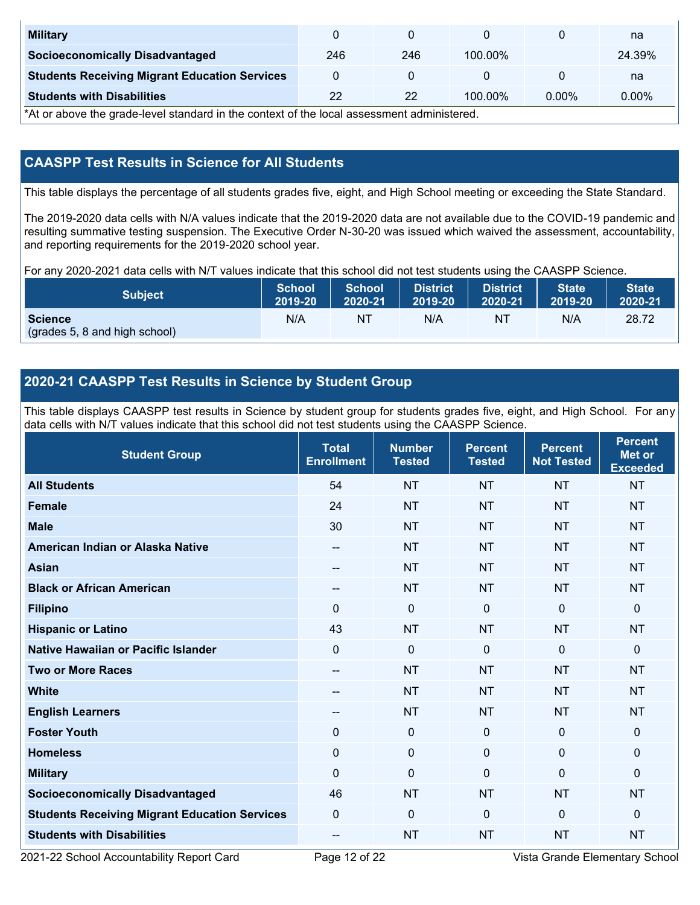| <b>Military</b>                                      |     |     |            |       | na     |
|------------------------------------------------------|-----|-----|------------|-------|--------|
| <b>Socioeconomically Disadvantaged</b>               | 246 | 246 | $100.00\%$ |       | 24.39% |
| <b>Students Receiving Migrant Education Services</b> |     |     |            |       | na     |
| <b>Students with Disabilities</b>                    | 22  | 22  | $100.00\%$ | 0.00% | 0.00%  |

\*At or above the grade-level standard in the context of the local assessment administered.

# **CAASPP Test Results in Science for All Students**

This table displays the percentage of all students grades five, eight, and High School meeting or exceeding the State Standard.

The 2019-2020 data cells with N/A values indicate that the 2019-2020 data are not available due to the COVID-19 pandemic and resulting summative testing suspension. The Executive Order N-30-20 was issued which waived the assessment, accountability, and reporting requirements for the 2019-2020 school year.

For any 2020-2021 data cells with N/T values indicate that this school did not test students using the CAASPP Science.

| <b>Subject</b>                                  | <b>School</b> | <b>School</b> | <b>District</b> | <b>District</b> | <b>State</b> | <b>State</b> |
|-------------------------------------------------|---------------|---------------|-----------------|-----------------|--------------|--------------|
|                                                 | 2019-20       | 2020-21       | 2019-20         | 2020-21         | 2019-20      | 2020-21      |
| <b>Science</b><br>(grades 5, 8 and high school) | N/A           | ΝT            | N/A             | N1              | N/A          | 28.72        |

## **2020-21 CAASPP Test Results in Science by Student Group**

This table displays CAASPP test results in Science by student group for students grades five, eight, and High School. For any data cells with N/T values indicate that this school did not test students using the CAASPP Science.

| <b>Student Group</b>                                 | <b>Total</b><br><b>Enrollment</b> | <b>Number</b><br><b>Tested</b> | <b>Percent</b><br><b>Tested</b> | <b>Percent</b><br><b>Not Tested</b> | <b>Percent</b><br><b>Met or</b><br><b>Exceeded</b> |
|------------------------------------------------------|-----------------------------------|--------------------------------|---------------------------------|-------------------------------------|----------------------------------------------------|
| <b>All Students</b>                                  | 54                                | <b>NT</b>                      | <b>NT</b>                       | <b>NT</b>                           | <b>NT</b>                                          |
| <b>Female</b>                                        | 24                                | <b>NT</b>                      | <b>NT</b>                       | <b>NT</b>                           | <b>NT</b>                                          |
| <b>Male</b>                                          | 30                                | <b>NT</b>                      | <b>NT</b>                       | <b>NT</b>                           | <b>NT</b>                                          |
| American Indian or Alaska Native                     | --                                | <b>NT</b>                      | <b>NT</b>                       | <b>NT</b>                           | <b>NT</b>                                          |
| <b>Asian</b>                                         | $- -$                             | <b>NT</b>                      | <b>NT</b>                       | <b>NT</b>                           | <b>NT</b>                                          |
| <b>Black or African American</b>                     | --                                | <b>NT</b>                      | <b>NT</b>                       | <b>NT</b>                           | <b>NT</b>                                          |
| <b>Filipino</b>                                      | $\Omega$                          | $\mathbf 0$                    | $\mathbf 0$                     | $\mathbf{0}$                        | 0                                                  |
| <b>Hispanic or Latino</b>                            | 43                                | <b>NT</b>                      | <b>NT</b>                       | <b>NT</b>                           | <b>NT</b>                                          |
| <b>Native Hawaiian or Pacific Islander</b>           | $\Omega$                          | $\mathbf 0$                    | $\mathbf 0$                     | $\Omega$                            | 0                                                  |
| <b>Two or More Races</b>                             | --                                | <b>NT</b>                      | <b>NT</b>                       | <b>NT</b>                           | <b>NT</b>                                          |
| <b>White</b>                                         | --                                | <b>NT</b>                      | <b>NT</b>                       | <b>NT</b>                           | <b>NT</b>                                          |
| <b>English Learners</b>                              | --                                | <b>NT</b>                      | <b>NT</b>                       | <b>NT</b>                           | <b>NT</b>                                          |
| <b>Foster Youth</b>                                  | $\mathbf 0$                       | $\mathbf 0$                    | $\mathbf{0}$                    | $\mathbf 0$                         | $\mathbf 0$                                        |
| <b>Homeless</b>                                      | $\mathbf 0$                       | $\mathbf 0$                    | $\mathbf 0$                     | $\Omega$                            | 0                                                  |
| <b>Military</b>                                      | $\Omega$                          | $\mathbf 0$                    | $\Omega$                        | $\mathbf{0}$                        | 0                                                  |
| <b>Socioeconomically Disadvantaged</b>               | 46                                | <b>NT</b>                      | <b>NT</b>                       | <b>NT</b>                           | <b>NT</b>                                          |
| <b>Students Receiving Migrant Education Services</b> | $\mathbf{0}$                      | 0                              | $\mathbf 0$                     | $\mathbf 0$                         | 0                                                  |
| <b>Students with Disabilities</b>                    | --                                | <b>NT</b>                      | <b>NT</b>                       | <b>NT</b>                           | <b>NT</b>                                          |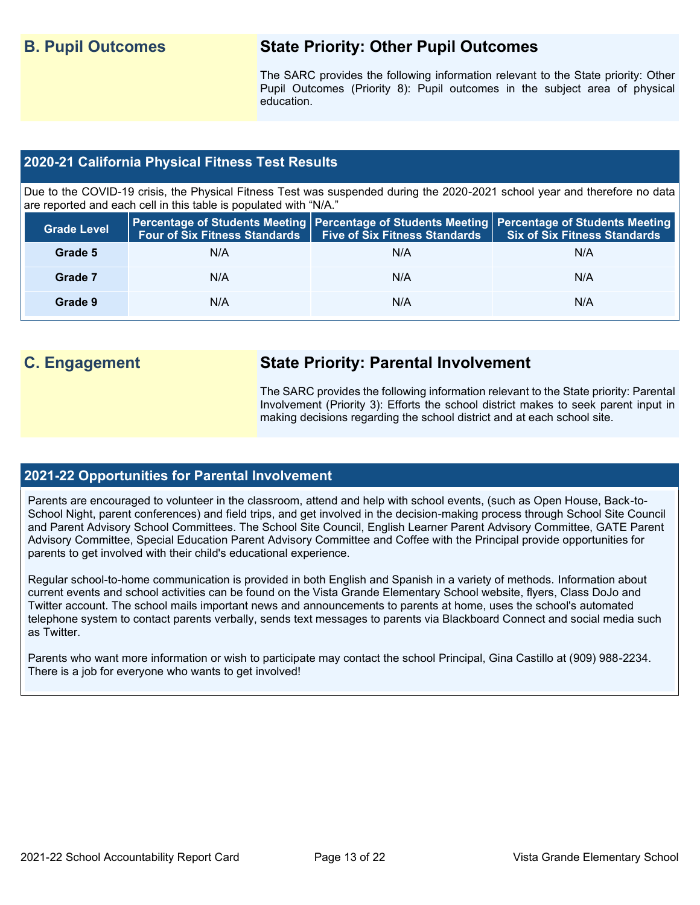# **B. Pupil Outcomes State Priority: Other Pupil Outcomes**

The SARC provides the following information relevant to the State priority: Other Pupil Outcomes (Priority 8): Pupil outcomes in the subject area of physical education.

### **2020-21 California Physical Fitness Test Results**

Due to the COVID-19 crisis, the Physical Fitness Test was suspended during the 2020-2021 school year and therefore no data are reported and each cell in this table is populated with "N/A."

| <b>Grade Level</b> |     | Four of Six Fitness Standards   Five of Six Fitness Standards | <b>Percentage of Students Meeting   Percentage of Students Meeting   Percentage of Students Meeting  </b><br>Six of Six Fitness Standards |
|--------------------|-----|---------------------------------------------------------------|-------------------------------------------------------------------------------------------------------------------------------------------|
| Grade 5            | N/A | N/A                                                           | N/A                                                                                                                                       |
| Grade 7            | N/A | N/A                                                           | N/A                                                                                                                                       |
| Grade 9            | N/A | N/A                                                           | N/A                                                                                                                                       |

# **C. Engagement State Priority: Parental Involvement**

The SARC provides the following information relevant to the State priority: Parental Involvement (Priority 3): Efforts the school district makes to seek parent input in making decisions regarding the school district and at each school site.

### **2021-22 Opportunities for Parental Involvement**

Parents are encouraged to volunteer in the classroom, attend and help with school events, (such as Open House, Back-to-School Night, parent conferences) and field trips, and get involved in the decision-making process through School Site Council and Parent Advisory School Committees. The School Site Council, English Learner Parent Advisory Committee, GATE Parent Advisory Committee, Special Education Parent Advisory Committee and Coffee with the Principal provide opportunities for parents to get involved with their child's educational experience.

Regular school-to-home communication is provided in both English and Spanish in a variety of methods. Information about current events and school activities can be found on the Vista Grande Elementary School website, flyers, Class DoJo and Twitter account. The school mails important news and announcements to parents at home, uses the school's automated telephone system to contact parents verbally, sends text messages to parents via Blackboard Connect and social media such as Twitter.

Parents who want more information or wish to participate may contact the school Principal, Gina Castillo at (909) 988-2234. There is a job for everyone who wants to get involved!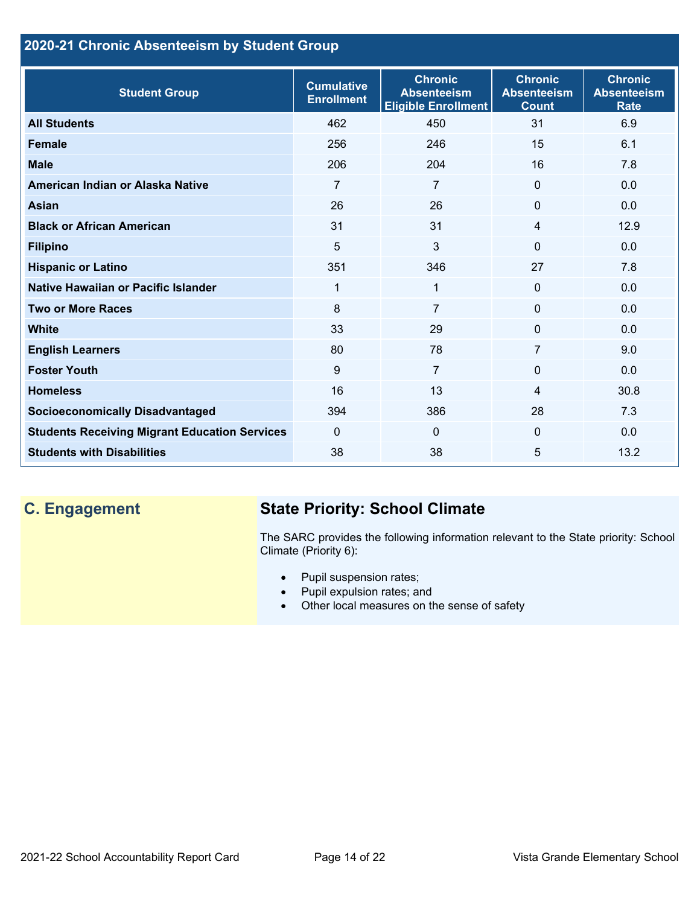# **2020-21 Chronic Absenteeism by Student Group**

| <b>Student Group</b>                                 | <b>Cumulative</b><br><b>Enrollment</b> | <b>Chronic</b><br><b>Absenteeism</b><br><b>Eligible Enrollment</b> | <b>Chronic</b><br><b>Absenteeism</b><br><b>Count</b> | <b>Chronic</b><br><b>Absenteeism</b><br><b>Rate</b> |
|------------------------------------------------------|----------------------------------------|--------------------------------------------------------------------|------------------------------------------------------|-----------------------------------------------------|
| <b>All Students</b>                                  | 462                                    | 450                                                                | 31                                                   | 6.9                                                 |
| <b>Female</b>                                        | 256                                    | 246                                                                | 15                                                   | 6.1                                                 |
| <b>Male</b>                                          | 206                                    | 204                                                                | 16                                                   | 7.8                                                 |
| American Indian or Alaska Native                     | 7                                      | $\overline{7}$                                                     | $\mathbf{0}$                                         | 0.0                                                 |
| <b>Asian</b>                                         | 26                                     | 26                                                                 | $\mathbf 0$                                          | 0.0                                                 |
| <b>Black or African American</b>                     | 31                                     | 31                                                                 | $\overline{4}$                                       | 12.9                                                |
| <b>Filipino</b>                                      | 5                                      | 3                                                                  | $\mathbf{0}$                                         | 0.0                                                 |
| <b>Hispanic or Latino</b>                            | 351                                    | 346                                                                | 27                                                   | 7.8                                                 |
| Native Hawaiian or Pacific Islander                  | 1                                      | 1                                                                  | $\mathbf 0$                                          | 0.0                                                 |
| <b>Two or More Races</b>                             | 8                                      | $\overline{7}$                                                     | $\mathbf{0}$                                         | 0.0                                                 |
| <b>White</b>                                         | 33                                     | 29                                                                 | $\mathbf{0}$                                         | 0.0                                                 |
| <b>English Learners</b>                              | 80                                     | 78                                                                 | 7                                                    | 9.0                                                 |
| <b>Foster Youth</b>                                  | 9                                      | $\overline{7}$                                                     | $\Omega$                                             | 0.0                                                 |
| <b>Homeless</b>                                      | 16                                     | 13                                                                 | 4                                                    | 30.8                                                |
| <b>Socioeconomically Disadvantaged</b>               | 394                                    | 386                                                                | 28                                                   | 7.3                                                 |
| <b>Students Receiving Migrant Education Services</b> | $\mathbf{0}$                           | $\mathbf{0}$                                                       | $\mathbf{0}$                                         | 0.0                                                 |
| <b>Students with Disabilities</b>                    | 38                                     | 38                                                                 | 5                                                    | 13.2                                                |

# **C. Engagement State Priority: School Climate**

The SARC provides the following information relevant to the State priority: School Climate (Priority 6):

- Pupil suspension rates;
- Pupil expulsion rates; and
- Other local measures on the sense of safety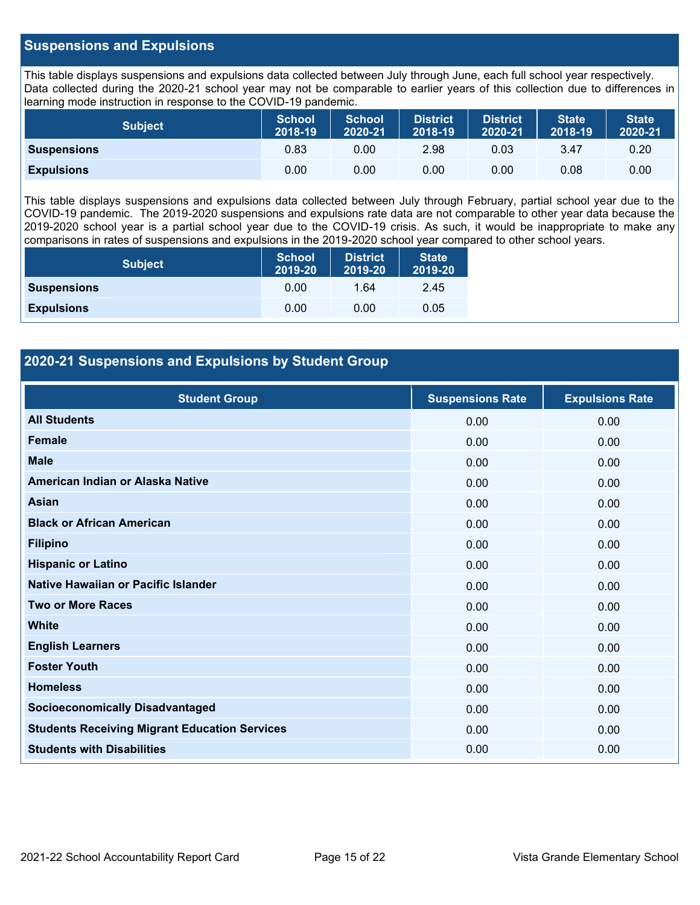### **Suspensions and Expulsions**

This table displays suspensions and expulsions data collected between July through June, each full school year respectively. Data collected during the 2020-21 school year may not be comparable to earlier years of this collection due to differences in learning mode instruction in response to the COVID-19 pandemic.

| <b>Subject</b>     | <b>School</b><br>2018-19 | <b>School</b><br>2020-21 | <b>District</b><br>2018-19 | <b>District</b><br>2020-21 | <b>State</b><br>2018-19 | <b>State</b><br>2020-21 |
|--------------------|--------------------------|--------------------------|----------------------------|----------------------------|-------------------------|-------------------------|
| <b>Suspensions</b> | 0.83                     | 0.00                     | 2.98                       | 0.03                       | 3.47                    | 0.20                    |
| <b>Expulsions</b>  | 0.00                     | 0.00                     | 0.00                       | 0.00                       | 0.08                    | 0.00                    |

This table displays suspensions and expulsions data collected between July through February, partial school year due to the COVID-19 pandemic. The 2019-2020 suspensions and expulsions rate data are not comparable to other year data because the 2019-2020 school year is a partial school year due to the COVID-19 crisis. As such, it would be inappropriate to make any comparisons in rates of suspensions and expulsions in the 2019-2020 school year compared to other school years.

| <b>Subject</b>     | <b>School</b><br>2019-20 | <b>District</b><br>2019-20 | <b>State</b><br>2019-20 |
|--------------------|--------------------------|----------------------------|-------------------------|
| <b>Suspensions</b> | 0.00                     | 1.64                       | 2.45                    |
| <b>Expulsions</b>  | 0.00                     | 0.00                       | 0.05                    |

### **2020-21 Suspensions and Expulsions by Student Group**

| <b>Student Group</b>                                 | <b>Suspensions Rate</b> | <b>Expulsions Rate</b> |
|------------------------------------------------------|-------------------------|------------------------|
| <b>All Students</b>                                  | 0.00                    | 0.00                   |
| <b>Female</b>                                        | 0.00                    | 0.00                   |
| <b>Male</b>                                          | 0.00                    | 0.00                   |
| American Indian or Alaska Native                     | 0.00                    | 0.00                   |
| <b>Asian</b>                                         | 0.00                    | 0.00                   |
| <b>Black or African American</b>                     | 0.00                    | 0.00                   |
| <b>Filipino</b>                                      | 0.00                    | 0.00                   |
| <b>Hispanic or Latino</b>                            | 0.00                    | 0.00                   |
| Native Hawaiian or Pacific Islander                  | 0.00                    | 0.00                   |
| <b>Two or More Races</b>                             | 0.00                    | 0.00                   |
| <b>White</b>                                         | 0.00                    | 0.00                   |
| <b>English Learners</b>                              | 0.00                    | 0.00                   |
| <b>Foster Youth</b>                                  | 0.00                    | 0.00                   |
| <b>Homeless</b>                                      | 0.00                    | 0.00                   |
| <b>Socioeconomically Disadvantaged</b>               | 0.00                    | 0.00                   |
| <b>Students Receiving Migrant Education Services</b> | 0.00                    | 0.00                   |
| <b>Students with Disabilities</b>                    | 0.00                    | 0.00                   |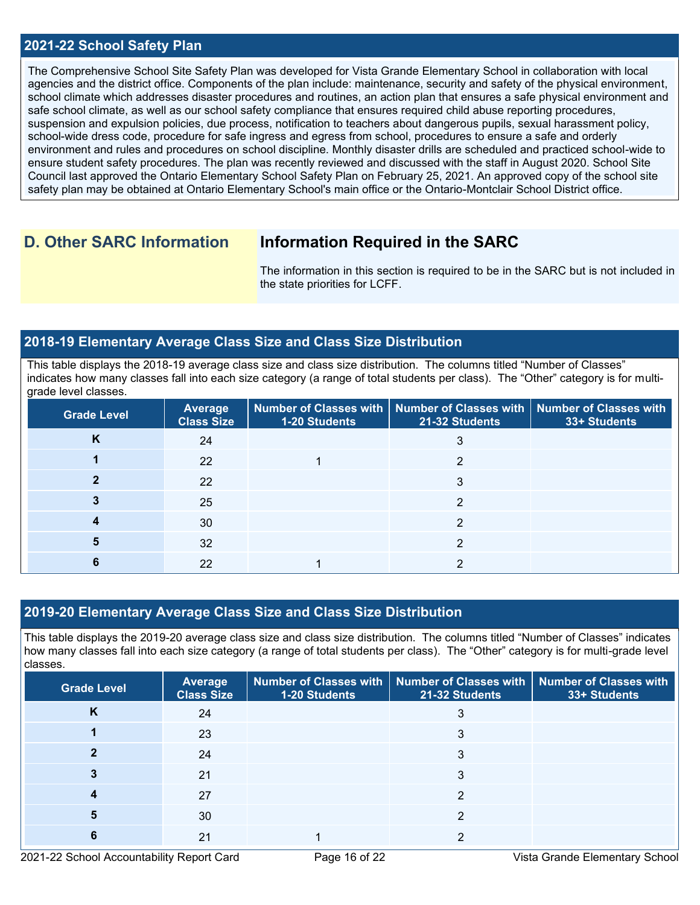### **2021-22 School Safety Plan**

The Comprehensive School Site Safety Plan was developed for Vista Grande Elementary School in collaboration with local agencies and the district office. Components of the plan include: maintenance, security and safety of the physical environment, school climate which addresses disaster procedures and routines, an action plan that ensures a safe physical environment and safe school climate, as well as our school safety compliance that ensures required child abuse reporting procedures, suspension and expulsion policies, due process, notification to teachers about dangerous pupils, sexual harassment policy, school-wide dress code, procedure for safe ingress and egress from school, procedures to ensure a safe and orderly environment and rules and procedures on school discipline. Monthly disaster drills are scheduled and practiced school-wide to ensure student safety procedures. The plan was recently reviewed and discussed with the staff in August 2020. School Site Council last approved the Ontario Elementary School Safety Plan on February 25, 2021. An approved copy of the school site safety plan may be obtained at Ontario Elementary School's main office or the Ontario-Montclair School District office.

# **D. Other SARC Information Information Required in the SARC**

The information in this section is required to be in the SARC but is not included in the state priorities for LCFF.

### **2018-19 Elementary Average Class Size and Class Size Distribution**

This table displays the 2018-19 average class size and class size distribution. The columns titled "Number of Classes" indicates how many classes fall into each size category (a range of total students per class). The "Other" category is for multigrade level classes.

| <b>Grade Level</b> | <b>Average</b><br><b>Class Size</b> | 1-20 Students | $\mid$ Number of Classes with $\mid$ Number of Classes with $\mid$ Number of Classes with<br>21-32 Students | 33+ Students |
|--------------------|-------------------------------------|---------------|-------------------------------------------------------------------------------------------------------------|--------------|
| K                  | 24                                  |               |                                                                                                             |              |
|                    | 22                                  |               | ◠                                                                                                           |              |
|                    | 22                                  |               |                                                                                                             |              |
|                    | 25                                  |               | ◠                                                                                                           |              |
|                    | 30                                  |               |                                                                                                             |              |
|                    | 32                                  |               | ◠                                                                                                           |              |
|                    | 22                                  |               |                                                                                                             |              |

### **2019-20 Elementary Average Class Size and Class Size Distribution**

This table displays the 2019-20 average class size and class size distribution. The columns titled "Number of Classes" indicates how many classes fall into each size category (a range of total students per class). The "Other" category is for multi-grade level classes.

| <b>Grade Level</b> | <b>Average</b><br><b>Class Size</b> | 1-20 Students | Number of Classes with   Number of Classes with  <br>21-32 Students | <b>Number of Classes with</b><br>33+ Students |
|--------------------|-------------------------------------|---------------|---------------------------------------------------------------------|-----------------------------------------------|
| N                  | 24                                  |               |                                                                     |                                               |
|                    | 23                                  |               | 3                                                                   |                                               |
|                    | 24                                  |               |                                                                     |                                               |
|                    | 21                                  |               | 3                                                                   |                                               |
|                    | 27                                  |               | າ                                                                   |                                               |
|                    | 30                                  |               |                                                                     |                                               |
|                    | 21                                  |               |                                                                     |                                               |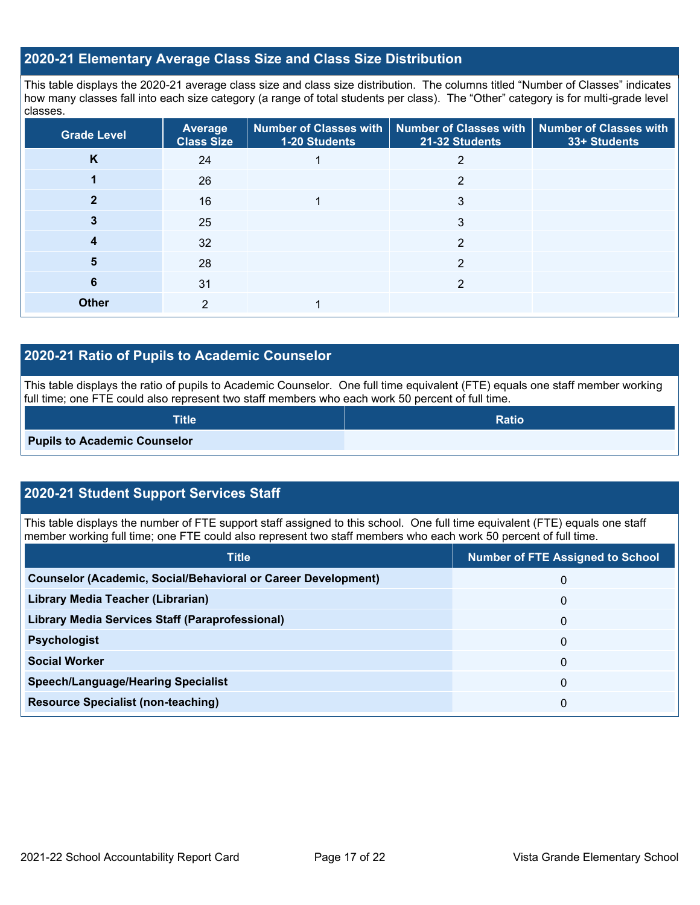# **2020-21 Elementary Average Class Size and Class Size Distribution**

This table displays the 2020-21 average class size and class size distribution. The columns titled "Number of Classes" indicates how many classes fall into each size category (a range of total students per class). The "Other" category is for multi-grade level classes.

| <b>Grade Level</b> | Average<br><b>Class Size</b> | 1-20 Students | Number of Classes with   Number of Classes with   Number of Classes with<br>21-32 Students | 33+ Students |
|--------------------|------------------------------|---------------|--------------------------------------------------------------------------------------------|--------------|
| K                  | 24                           |               | 2                                                                                          |              |
|                    | 26                           |               | 2                                                                                          |              |
|                    | 16                           |               | 3                                                                                          |              |
|                    | 25                           |               | 3                                                                                          |              |
| 4                  | 32                           |               | 2                                                                                          |              |
| 5                  | 28                           |               | 2                                                                                          |              |
| 6                  | 31                           |               | $\overline{2}$                                                                             |              |
| <b>Other</b>       | 2                            |               |                                                                                            |              |

### **2020-21 Ratio of Pupils to Academic Counselor**

This table displays the ratio of pupils to Academic Counselor. One full time equivalent (FTE) equals one staff member working full time; one FTE could also represent two staff members who each work 50 percent of full time.

| <b>Title</b>                        | <b>Ratio</b> |
|-------------------------------------|--------------|
| <b>Pupils to Academic Counselor</b> |              |

## **2020-21 Student Support Services Staff**

This table displays the number of FTE support staff assigned to this school. One full time equivalent (FTE) equals one staff member working full time; one FTE could also represent two staff members who each work 50 percent of full time.

| <b>Title</b>                                                         | <b>Number of FTE Assigned to School</b> |
|----------------------------------------------------------------------|-----------------------------------------|
| <b>Counselor (Academic, Social/Behavioral or Career Development)</b> | 0                                       |
| Library Media Teacher (Librarian)                                    | 0                                       |
| <b>Library Media Services Staff (Paraprofessional)</b>               | 0                                       |
| <b>Psychologist</b>                                                  | 0                                       |
| <b>Social Worker</b>                                                 | $\mathbf{0}$                            |
| <b>Speech/Language/Hearing Specialist</b>                            | $\mathbf{0}$                            |
| <b>Resource Specialist (non-teaching)</b>                            | 0                                       |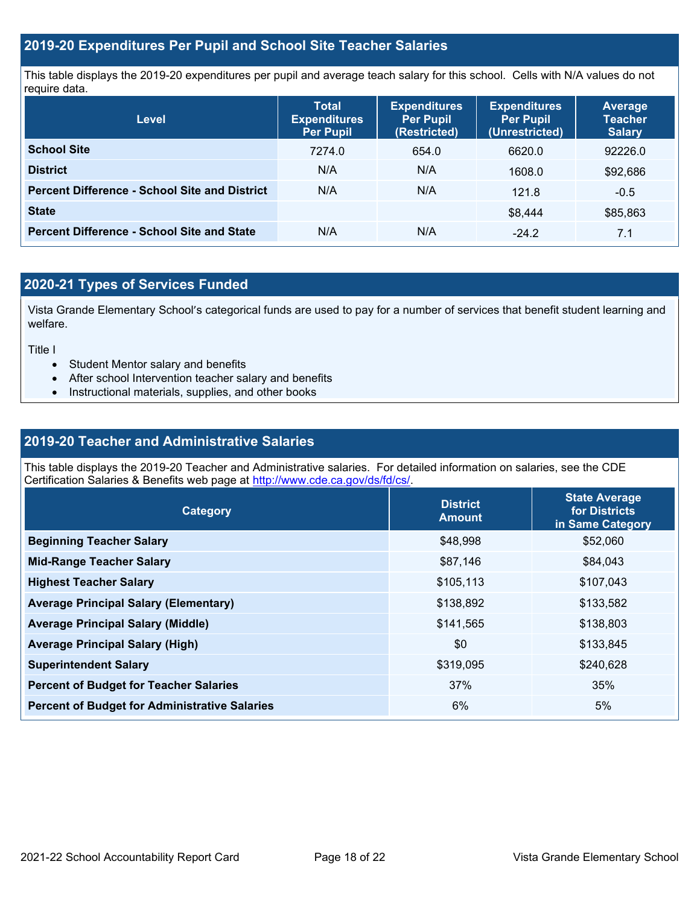### **2019-20 Expenditures Per Pupil and School Site Teacher Salaries**

This table displays the 2019-20 expenditures per pupil and average teach salary for this school. Cells with N/A values do not require data.

| <b>Level</b>                                         | <b>Total</b><br><b>Expenditures</b><br><b>Per Pupil</b> | <b>Expenditures</b><br><b>Per Pupil</b><br>(Restricted) | <b>Expenditures</b><br><b>Per Pupil</b><br>(Unrestricted) | <b>Average</b><br><b>Teacher</b><br><b>Salary</b> |
|------------------------------------------------------|---------------------------------------------------------|---------------------------------------------------------|-----------------------------------------------------------|---------------------------------------------------|
| <b>School Site</b>                                   | 7274.0                                                  | 654.0                                                   | 6620.0                                                    | 92226.0                                           |
| <b>District</b>                                      | N/A                                                     | N/A                                                     | 1608.0                                                    | \$92,686                                          |
| <b>Percent Difference - School Site and District</b> | N/A                                                     | N/A                                                     | 121.8                                                     | $-0.5$                                            |
| <b>State</b>                                         |                                                         |                                                         | \$8.444                                                   | \$85,863                                          |
| <b>Percent Difference - School Site and State</b>    | N/A                                                     | N/A                                                     | $-24.2$                                                   | 7.1                                               |

# **2020-21 Types of Services Funded**

Vista Grande Elementary School's categorical funds are used to pay for a number of services that benefit student learning and welfare.

Title I

- Student Mentor salary and benefits
- After school Intervention teacher salary and benefits
- Instructional materials, supplies, and other books

### **2019-20 Teacher and Administrative Salaries**

This table displays the 2019-20 Teacher and Administrative salaries. For detailed information on salaries, see the CDE Certification Salaries & Benefits web page at [http://www.cde.ca.gov/ds/fd/cs/.](http://www.cde.ca.gov/ds/fd/cs/)

| Category                                             | <b>District</b><br><b>Amount</b> | <b>State Average</b><br>for Districts<br>in Same Category |
|------------------------------------------------------|----------------------------------|-----------------------------------------------------------|
| <b>Beginning Teacher Salary</b>                      | \$48,998                         | \$52,060                                                  |
| <b>Mid-Range Teacher Salary</b>                      | \$87,146                         | \$84,043                                                  |
| <b>Highest Teacher Salary</b>                        | \$105,113                        | \$107,043                                                 |
| <b>Average Principal Salary (Elementary)</b>         | \$138,892                        | \$133,582                                                 |
| <b>Average Principal Salary (Middle)</b>             | \$141,565                        | \$138,803                                                 |
| <b>Average Principal Salary (High)</b>               | \$0                              | \$133,845                                                 |
| <b>Superintendent Salary</b>                         | \$319,095                        | \$240,628                                                 |
| <b>Percent of Budget for Teacher Salaries</b>        | 37%                              | 35%                                                       |
| <b>Percent of Budget for Administrative Salaries</b> | 6%                               | 5%                                                        |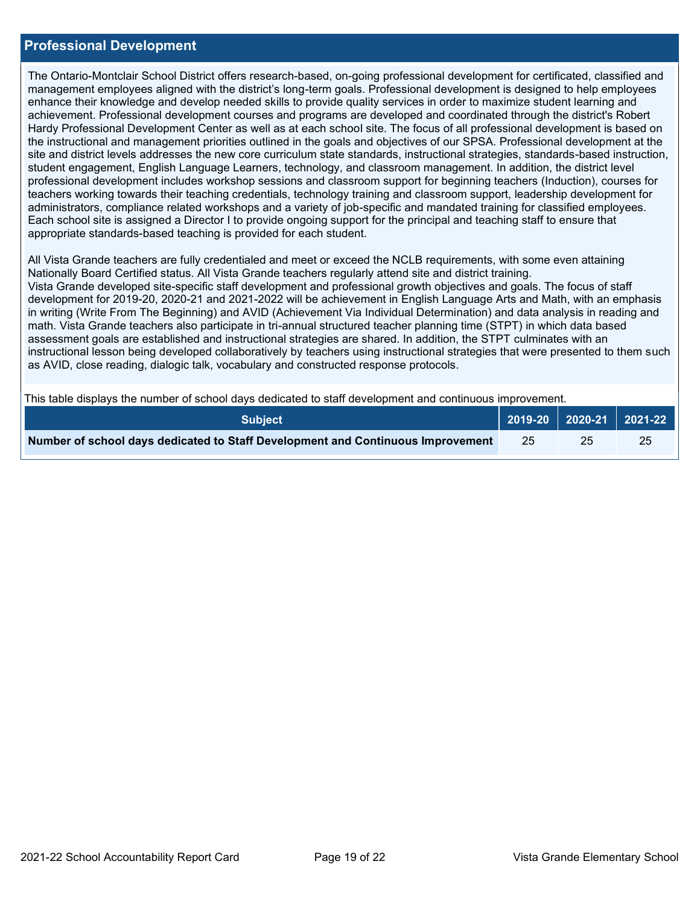### **Professional Development**

The Ontario-Montclair School District offers research-based, on-going professional development for certificated, classified and management employees aligned with the district's long-term goals. Professional development is designed to help employees enhance their knowledge and develop needed skills to provide quality services in order to maximize student learning and achievement. Professional development courses and programs are developed and coordinated through the district's Robert Hardy Professional Development Center as well as at each school site. The focus of all professional development is based on the instructional and management priorities outlined in the goals and objectives of our SPSA. Professional development at the site and district levels addresses the new core curriculum state standards, instructional strategies, standards-based instruction, student engagement, English Language Learners, technology, and classroom management. In addition, the district level professional development includes workshop sessions and classroom support for beginning teachers (Induction), courses for teachers working towards their teaching credentials, technology training and classroom support, leadership development for administrators, compliance related workshops and a variety of job-specific and mandated training for classified employees. Each school site is assigned a Director I to provide ongoing support for the principal and teaching staff to ensure that appropriate standards-based teaching is provided for each student.

All Vista Grande teachers are fully credentialed and meet or exceed the NCLB requirements, with some even attaining Nationally Board Certified status. All Vista Grande teachers regularly attend site and district training. Vista Grande developed site-specific staff development and professional growth objectives and goals. The focus of staff development for 2019-20, 2020-21 and 2021-2022 will be achievement in English Language Arts and Math, with an emphasis in writing (Write From The Beginning) and AVID (Achievement Via Individual Determination) and data analysis in reading and math. Vista Grande teachers also participate in tri-annual structured teacher planning time (STPT) in which data based assessment goals are established and instructional strategies are shared. In addition, the STPT culminates with an instructional lesson being developed collaboratively by teachers using instructional strategies that were presented to them such as AVID, close reading, dialogic talk, vocabulary and constructed response protocols.

This table displays the number of school days dedicated to staff development and continuous improvement.

| <b>Subject</b>                                                                  |               | 2019-20   2020-21   2021-22 |    |
|---------------------------------------------------------------------------------|---------------|-----------------------------|----|
| Number of school days dedicated to Staff Development and Continuous Improvement | <sup>25</sup> |                             | 25 |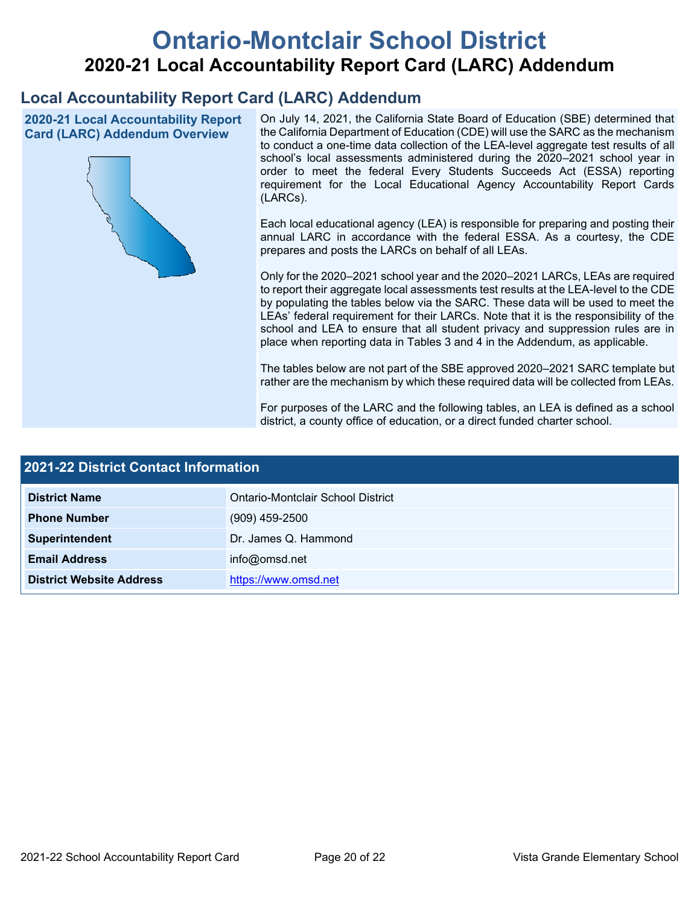# **Ontario-Montclair School District 2020-21 Local Accountability Report Card (LARC) Addendum**

# **Local Accountability Report Card (LARC) Addendum**

**2020-21 Local Accountability Report Card (LARC) Addendum Overview**



On July 14, 2021, the California State Board of Education (SBE) determined that the California Department of Education (CDE) will use the SARC as the mechanism to conduct a one-time data collection of the LEA-level aggregate test results of all school's local assessments administered during the 2020–2021 school year in order to meet the federal Every Students Succeeds Act (ESSA) reporting requirement for the Local Educational Agency Accountability Report Cards (LARCs).

Each local educational agency (LEA) is responsible for preparing and posting their annual LARC in accordance with the federal ESSA. As a courtesy, the CDE prepares and posts the LARCs on behalf of all LEAs.

Only for the 2020–2021 school year and the 2020–2021 LARCs, LEAs are required to report their aggregate local assessments test results at the LEA-level to the CDE by populating the tables below via the SARC. These data will be used to meet the LEAs' federal requirement for their LARCs. Note that it is the responsibility of the school and LEA to ensure that all student privacy and suppression rules are in place when reporting data in Tables 3 and 4 in the Addendum, as applicable.

The tables below are not part of the SBE approved 2020–2021 SARC template but rather are the mechanism by which these required data will be collected from LEAs.

For purposes of the LARC and the following tables, an LEA is defined as a school district, a county office of education, or a direct funded charter school.

| 2021-22 District Contact Information |                                   |  |
|--------------------------------------|-----------------------------------|--|
| <b>District Name</b>                 | Ontario-Montclair School District |  |
| <b>Phone Number</b>                  | $(909)$ 459-2500                  |  |
| Superintendent                       | Dr. James Q. Hammond              |  |
| <b>Email Address</b>                 | info@omsd.net                     |  |
| <b>District Website Address</b>      | https://www.omsd.net              |  |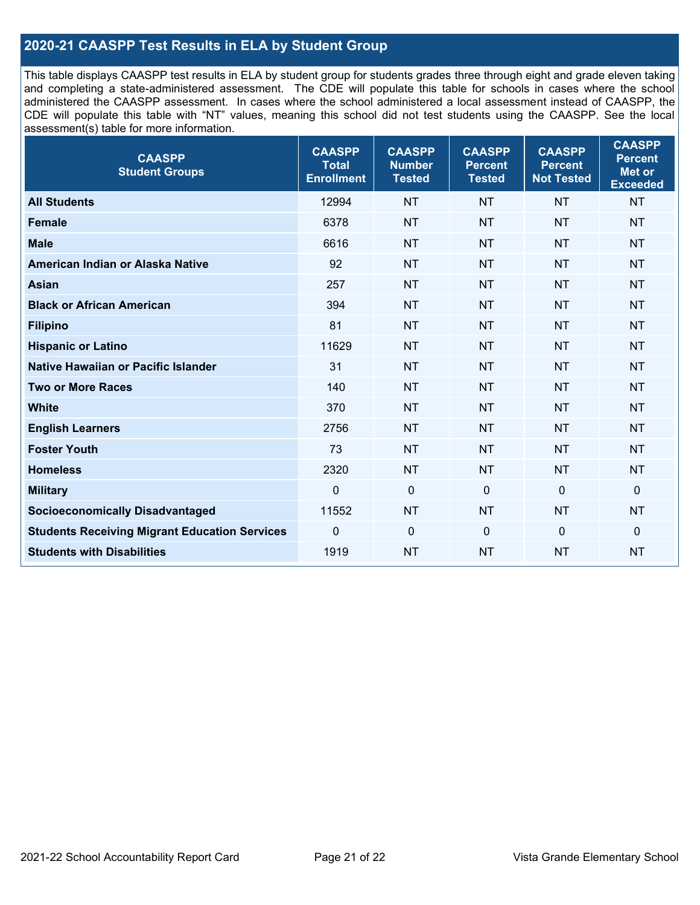## **2020-21 CAASPP Test Results in ELA by Student Group**

This table displays CAASPP test results in ELA by student group for students grades three through eight and grade eleven taking and completing a state-administered assessment. The CDE will populate this table for schools in cases where the school administered the CAASPP assessment. In cases where the school administered a local assessment instead of CAASPP, the CDE will populate this table with "NT" values, meaning this school did not test students using the CAASPP. See the local assessment(s) table for more information.

| <b>CAASPP</b><br><b>Student Groups</b>               | <b>CAASPP</b><br><b>Total</b><br><b>Enrollment</b> | <b>CAASPP</b><br><b>Number</b><br><b>Tested</b> | <b>CAASPP</b><br><b>Percent</b><br><b>Tested</b> | <b>CAASPP</b><br><b>Percent</b><br><b>Not Tested</b> | <b>CAASPP</b><br><b>Percent</b><br>Met or<br><b>Exceeded</b> |
|------------------------------------------------------|----------------------------------------------------|-------------------------------------------------|--------------------------------------------------|------------------------------------------------------|--------------------------------------------------------------|
| <b>All Students</b>                                  | 12994                                              | <b>NT</b>                                       | <b>NT</b>                                        | <b>NT</b>                                            | <b>NT</b>                                                    |
| <b>Female</b>                                        | 6378                                               | <b>NT</b>                                       | <b>NT</b>                                        | <b>NT</b>                                            | <b>NT</b>                                                    |
| <b>Male</b>                                          | 6616                                               | <b>NT</b>                                       | <b>NT</b>                                        | <b>NT</b>                                            | <b>NT</b>                                                    |
| American Indian or Alaska Native                     | 92                                                 | <b>NT</b>                                       | <b>NT</b>                                        | <b>NT</b>                                            | <b>NT</b>                                                    |
| <b>Asian</b>                                         | 257                                                | <b>NT</b>                                       | <b>NT</b>                                        | <b>NT</b>                                            | <b>NT</b>                                                    |
| <b>Black or African American</b>                     | 394                                                | <b>NT</b>                                       | <b>NT</b>                                        | <b>NT</b>                                            | <b>NT</b>                                                    |
| <b>Filipino</b>                                      | 81                                                 | <b>NT</b>                                       | <b>NT</b>                                        | <b>NT</b>                                            | <b>NT</b>                                                    |
| <b>Hispanic or Latino</b>                            | 11629                                              | <b>NT</b>                                       | <b>NT</b>                                        | <b>NT</b>                                            | <b>NT</b>                                                    |
| <b>Native Hawaiian or Pacific Islander</b>           | 31                                                 | <b>NT</b>                                       | <b>NT</b>                                        | <b>NT</b>                                            | <b>NT</b>                                                    |
| <b>Two or More Races</b>                             | 140                                                | <b>NT</b>                                       | <b>NT</b>                                        | <b>NT</b>                                            | <b>NT</b>                                                    |
| <b>White</b>                                         | 370                                                | <b>NT</b>                                       | <b>NT</b>                                        | <b>NT</b>                                            | <b>NT</b>                                                    |
| <b>English Learners</b>                              | 2756                                               | <b>NT</b>                                       | <b>NT</b>                                        | <b>NT</b>                                            | <b>NT</b>                                                    |
| <b>Foster Youth</b>                                  | 73                                                 | <b>NT</b>                                       | <b>NT</b>                                        | <b>NT</b>                                            | <b>NT</b>                                                    |
| <b>Homeless</b>                                      | 2320                                               | <b>NT</b>                                       | <b>NT</b>                                        | <b>NT</b>                                            | <b>NT</b>                                                    |
| <b>Military</b>                                      | $\mathbf 0$                                        | $\mathbf 0$                                     | $\mathbf 0$                                      | $\mathbf 0$                                          | 0                                                            |
| <b>Socioeconomically Disadvantaged</b>               | 11552                                              | <b>NT</b>                                       | <b>NT</b>                                        | <b>NT</b>                                            | <b>NT</b>                                                    |
| <b>Students Receiving Migrant Education Services</b> | 0                                                  | $\mathbf 0$                                     | $\mathbf{0}$                                     | $\mathbf 0$                                          | 0                                                            |
| <b>Students with Disabilities</b>                    | 1919                                               | <b>NT</b>                                       | <b>NT</b>                                        | <b>NT</b>                                            | <b>NT</b>                                                    |